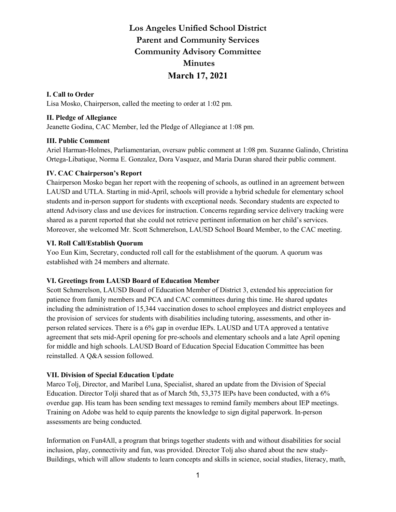# **Los Angeles Unified School District Parent and Community Services Community Advisory Committee Minutes March 17, 2021**

# **I. Call to Order**

Lisa Mosko, Chairperson, called the meeting to order at 1:02 pm.

## **II. Pledge of Allegiance**

Jeanette Godina, CAC Member, led the Pledge of Allegiance at 1:08 pm.

## **III. Public Comment**

Ariel Harman-Holmes, Parliamentarian, oversaw public comment at 1:08 pm. Suzanne Galindo, Christina Ortega-Libatique, Norma E. Gonzalez, Dora Vasquez, and Maria Duran shared their public comment.

## **IV. CAC Chairperson's Report**

Chairperson Mosko began her report with the reopening of schools, as outlined in an agreement between LAUSD and UTLA. Starting in mid-April, schools will provide a hybrid schedule for elementary school students and in-person support for students with exceptional needs. Secondary students are expected to attend Advisory class and use devices for instruction. Concerns regarding service delivery tracking were shared as a parent reported that she could not retrieve pertinent information on her child's services. Moreover, she welcomed Mr. Scott Schmerelson, LAUSD School Board Member, to the CAC meeting.

## **VI. Roll Call/Establish Quorum**

Yoo Eun Kim, Secretary, conducted roll call for the establishment of the quorum. A quorum was established with 24 members and alternate.

## **VI. Greetings from LAUSD Board of Education Member**

Scott Schmerelson, LAUSD Board of Education Member of District 3, extended his appreciation for patience from family members and PCA and CAC committees during this time. He shared updates including the administration of 15,344 vaccination doses to school employees and district employees and the provision of services for students with disabilities including tutoring, assessments, and other inperson related services. There is a 6% gap in overdue IEPs. LAUSD and UTA approved a tentative agreement that sets mid-April opening for pre-schools and elementary schools and a late April opening for middle and high schools. LAUSD Board of Education Special Education Committee has been reinstalled. A Q&A session followed.

## **VII. Division of Special Education Update**

Marco Tolj, Director, and Maribel Luna, Specialist, shared an update from the Division of Special Education. Director Tolji shared that as of March 5th, 53,375 IEPs have been conducted, with a 6% overdue gap. His team has been sending text messages to remind family members about IEP meetings. Training on Adobe was held to equip parents the knowledge to sign digital paperwork. In-person assessments are being conducted.

Information on Fun4All, a program that brings together students with and without disabilities for social inclusion, play, connectivity and fun, was provided. Director Tolj also shared about the new study-Buildings, which will allow students to learn concepts and skills in science, social studies, literacy, math,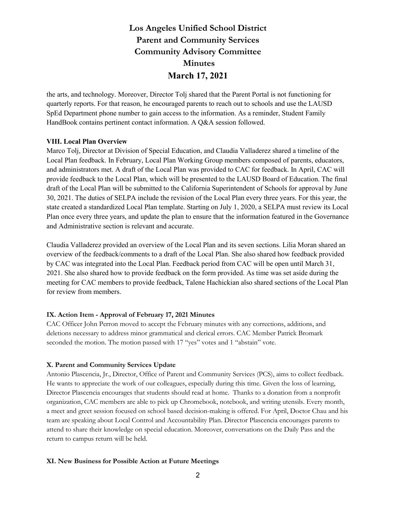# **Los Angeles Unified School District Parent and Community Services Community Advisory Committee Minutes March 17, 2021**

the arts, and technology. Moreover, Director Tolj shared that the Parent Portal is not functioning for quarterly reports. For that reason, he encouraged parents to reach out to schools and use the LAUSD SpEd Department phone number to gain access to the information. As a reminder, Student Family HandBook contains pertinent contact information. A Q&A session followed.

#### **VIII. Local Plan Overview**

Marco Tolj, Director at Division of Special Education, and Claudia Valladerez shared a timeline of the Local Plan feedback. In February, Local Plan Working Group members composed of parents, educators, and administrators met. A draft of the Local Plan was provided to CAC for feedback. In April, CAC will provide feedback to the Local Plan, which will be presented to the LAUSD Board of Education. The final draft of the Local Plan will be submitted to the California Superintendent of Schools for approval by June 30, 2021. The duties of SELPA include the revision of the Local Plan every three years. For this year, the state created a standardized Local Plan template. Starting on July 1, 2020, a SELPA must review its Local Plan once every three years, and update the plan to ensure that the information featured in the Governance and Administrative section is relevant and accurate.

Claudia Valladerez provided an overview of the Local Plan and its seven sections. Lilia Moran shared an overview of the feedback/comments to a draft of the Local Plan. She also shared how feedback provided by CAC was integrated into the Local Plan. Feedback period from CAC will be open until March 31, 2021. She also shared how to provide feedback on the form provided. As time was set aside during the meeting for CAC members to provide feedback, Talene Hachickian also shared sections of the Local Plan for review from members.

## **IX. Action Item - Approval of February 17, 2021 Minutes**

CAC Officer John Perron moved to accept the February minutes with any corrections, additions, and deletions necessary to address minor grammatical and clerical errors. CAC Member Patrick Bromark seconded the motion. The motion passed with 17 "yes" votes and 1 "abstain" vote.

## **X. Parent and Community Services Update**

Antonio Plascencia, Jr., Director, Office of Parent and Community Services (PCS), aims to collect feedback. He wants to appreciate the work of our colleagues, especially during this time. Given the loss of learning, Director Plascencia encourages that students should read at home. Thanks to a donation from a nonprofit organization, CAC members are able to pick up Chromebook, notebook, and writing utensils. Every month, a meet and greet session focused on school based decision-making is offered. For April, Doctor Chau and his team are speaking about Local Control and Accountability Plan. Director Plascencia encourages parents to attend to share their knowledge on special education. Moreover, conversations on the Daily Pass and the return to campus return will be held.

## **XI. New Business for Possible Action at Future Meetings**